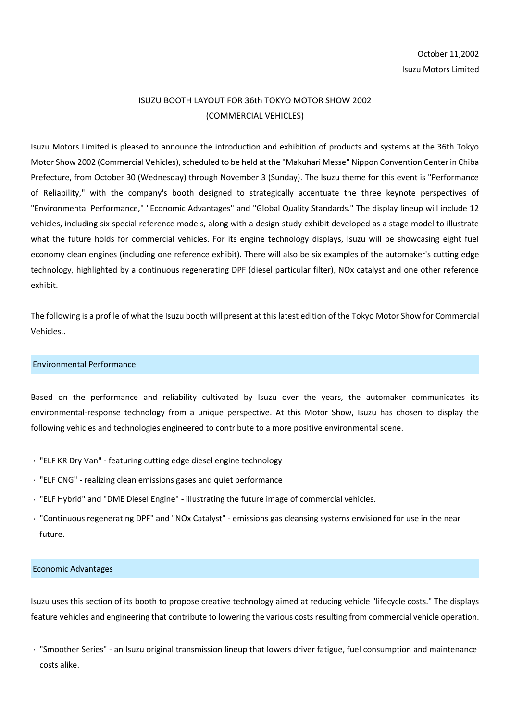## ISUZU BOOTH LAYOUT FOR 36th TOKYO MOTOR SHOW 2002 (COMMERCIAL VEHICLES)

Isuzu Motors Limited is pleased to announce the introduction and exhibition of products and systems at the 36th Tokyo Motor Show 2002 (Commercial Vehicles), scheduled to be held at the "Makuhari Messe" Nippon Convention Center in Chiba Prefecture, from October 30 (Wednesday) through November 3 (Sunday). The Isuzu theme for this event is "Performance of Reliability," with the company's booth designed to strategically accentuate the three keynote perspectives of "Environmental Performance," "Economic Advantages" and "Global Quality Standards." The display lineup will include 12 vehicles, including six special reference models, along with a design study exhibit developed as a stage model to illustrate what the future holds for commercial vehicles. For its engine technology displays, Isuzu will be showcasing eight fuel economy clean engines (including one reference exhibit). There will also be six examples of the automaker's cutting edge technology, highlighted by a continuous regenerating DPF (diesel particular filter), NOx catalyst and one other reference exhibit.

The following is a profile of what the Isuzu booth will present at this latest edition of the Tokyo Motor Show for Commercial Vehicles..

## Environmental Performance

Based on the performance and reliability cultivated by Isuzu over the years, the automaker communicates its environmental-response technology from a unique perspective. At this Motor Show, Isuzu has chosen to display the following vehicles and technologies engineered to contribute to a more positive environmental scene.

- "ELF KR Dry Van" featuring cutting edge diesel engine technology
- "ELF CNG" realizing clean emissions gases and quiet performance
- "ELF Hybrid" and "DME Diesel Engine" illustrating the future image of commercial vehicles.
- "Continuous regenerating DPF" and "NOx Catalyst" emissions gas cleansing systems envisioned for use in the near future.

## Economic Advantages

Isuzu uses this section of its booth to propose creative technology aimed at reducing vehicle "lifecycle costs." The displays feature vehicles and engineering that contribute to lowering the various costs resulting from commercial vehicle operation.

"Smoother Series" - an Isuzu original transmission lineup that lowers driver fatigue, fuel consumption and maintenance costs alike.